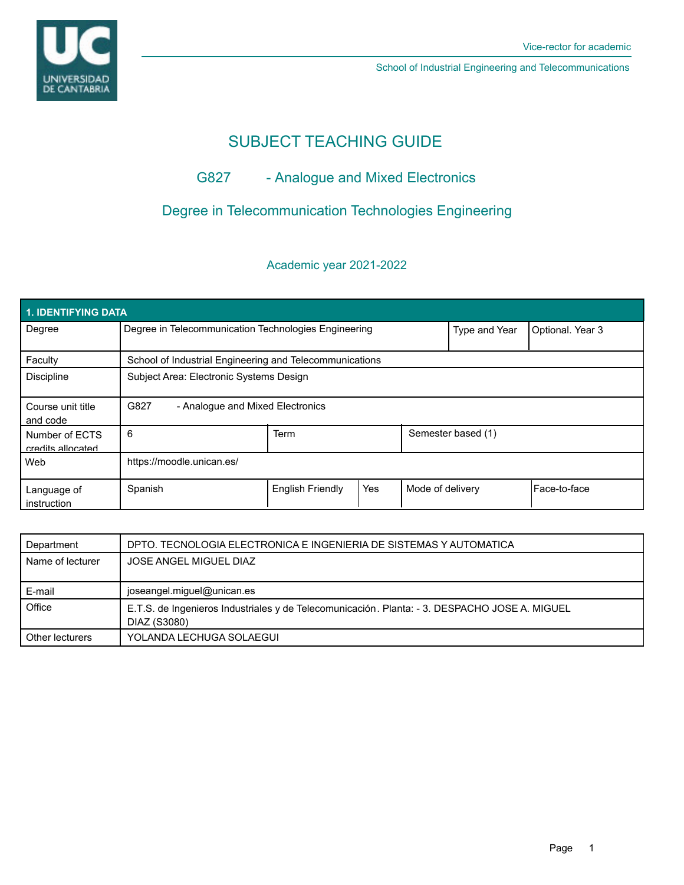# SUBJECT TEACHING GUIDE

## G827 - Analogue and Mixed Electronics

## Degree in Telecommunication Technologies Engineering

## Academic year 2021-2022

| 1. IDENTIFYING DATA                 |                                                         |                         |     |                    |                  |              |  |  |  |
|-------------------------------------|---------------------------------------------------------|-------------------------|-----|--------------------|------------------|--------------|--|--|--|
| Degree                              | Degree in Telecommunication Technologies Engineering    |                         |     | Type and Year      | Optional. Year 3 |              |  |  |  |
| Faculty                             | School of Industrial Engineering and Telecommunications |                         |     |                    |                  |              |  |  |  |
| <b>Discipline</b>                   | Subject Area: Electronic Systems Design                 |                         |     |                    |                  |              |  |  |  |
| Course unit title<br>and code       | G827<br>- Analogue and Mixed Electronics                |                         |     |                    |                  |              |  |  |  |
| Number of ECTS<br>credits allocated | 6                                                       | <b>Term</b>             |     | Semester based (1) |                  |              |  |  |  |
| Web                                 | https://moodle.unican.es/                               |                         |     |                    |                  |              |  |  |  |
| Language of<br>instruction          | Spanish                                                 | <b>English Friendly</b> | Yes | Mode of delivery   |                  | Face-to-face |  |  |  |

| Department       | DPTO. TECNOLOGIA ELECTRONICA E INGENIERIA DE SISTEMAS Y AUTOMATICA                                            |
|------------------|---------------------------------------------------------------------------------------------------------------|
| Name of lecturer | JOSE ANGEL MIGUEL DIAZ                                                                                        |
|                  |                                                                                                               |
| E-mail           | joseangel.miguel@unican.es                                                                                    |
| Office           | E.T.S. de Ingenieros Industriales y de Telecomunicación. Planta: - 3. DESPACHO JOSE A. MIGUEL<br>DIAZ (S3080) |
| Other lecturers  | YOLANDA LECHUGA SOLAEGUI                                                                                      |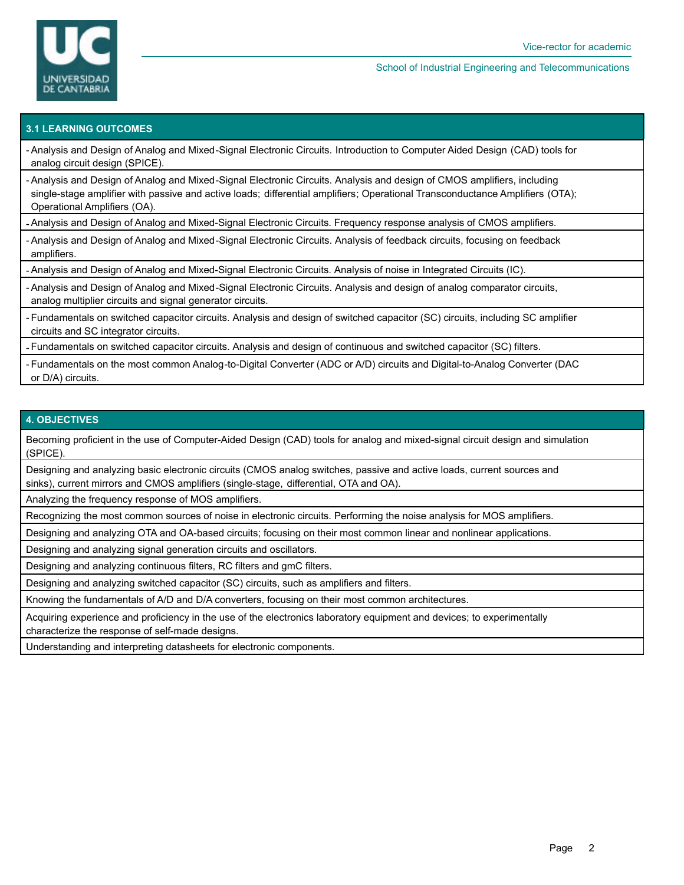

### **3.1 LEARNING OUTCOMES**

- Analysis and Design of Analog and Mixed-Signal Electronic Circuits. Introduction to Computer Aided Design (CAD) tools for analog circuit design (SPICE).

- Analysis and Design of Analog and Mixed-Signal Electronic Circuits. Analysis and design of CMOS amplifiers, including single-stage amplifier with passive and active loads; differential amplifiers; Operational Transconductance Amplifiers (OTA); Operational Amplifiers (OA).

- Analysis and Design of Analog and Mixed-Signal Electronic Circuits. Frequency response analysis of CMOS amplifiers.

- Analysis and Design of Analog and Mixed-Signal Electronic Circuits. Analysis of feedback circuits, focusing on feedback amplifiers.

- Analysis and Design of Analog and Mixed-Signal Electronic Circuits. Analysis of noise in Integrated Circuits (IC).

- Analysis and Design of Analog and Mixed-Signal Electronic Circuits. Analysis and design of analog comparator circuits, analog multiplier circuits and signal generator circuits.

Fundamentals on switched capacitor circuits. Analysis and design of switched capacitor (SC) circuits, including SC amplifier circuits and SC integrator circuits.

- Fundamentals on switched capacitor circuits. Analysis and design of continuous and switched capacitor (SC) filters.

Fundamentals on the most common Analog-to-Digital Converter (ADC or A/D) circuits and Digital-to-Analog Converter (DAC or D/A) circuits.

### **4. OBJECTIVES**

Becoming proficient in the use of Computer-Aided Design (CAD) tools for analog and mixed-signal circuit design and simulation (SPICE).

Designing and analyzing basic electronic circuits (CMOS analog switches, passive and active loads, current sources and sinks), current mirrors and CMOS amplifiers (single-stage, differential, OTA and OA).

Analyzing the frequency response of MOS amplifiers.

Recognizing the most common sources of noise in electronic circuits. Performing the noise analysis for MOS amplifiers.

Designing and analyzing OTA and OA-based circuits; focusing on their most common linear and nonlinear applications.

Designing and analyzing signal generation circuits and oscillators.

Designing and analyzing continuous filters, RC filters and gmC filters.

Designing and analyzing switched capacitor (SC) circuits, such as amplifiers and filters.

Knowing the fundamentals of A/D and D/A converters, focusing on their most common architectures.

Acquiring experience and proficiency in the use of the electronics laboratory equipment and devices; to experimentally characterize the response of self-made designs.

Understanding and interpreting datasheets for electronic components.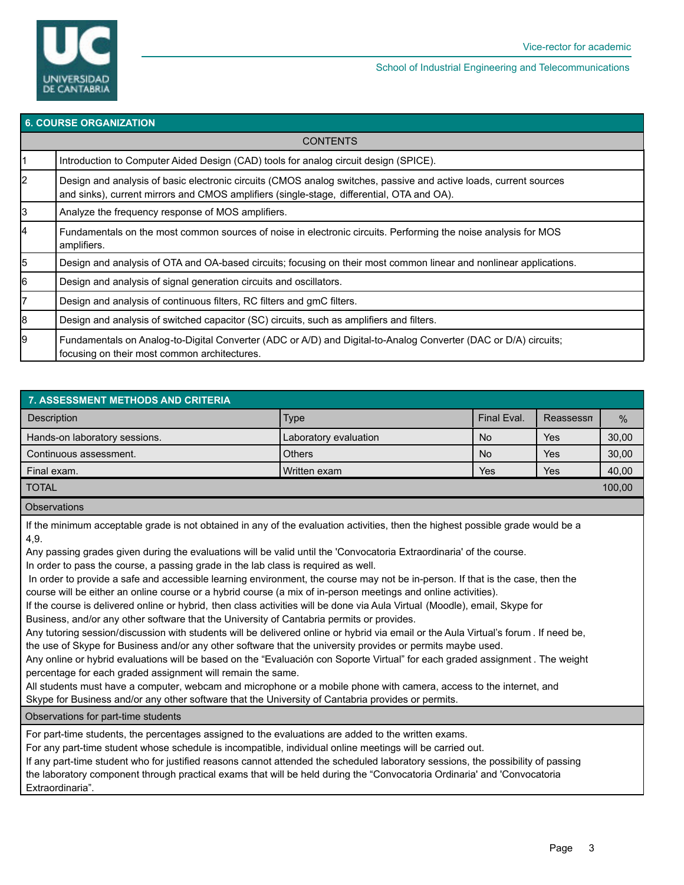

| <b>6. COURSE ORGANIZATION</b> |                                                                                                                                                                                                                |  |  |  |
|-------------------------------|----------------------------------------------------------------------------------------------------------------------------------------------------------------------------------------------------------------|--|--|--|
|                               | <b>CONTENTS</b>                                                                                                                                                                                                |  |  |  |
|                               | Introduction to Computer Aided Design (CAD) tools for analog circuit design (SPICE).                                                                                                                           |  |  |  |
| $\overline{2}$                | Design and analysis of basic electronic circuits (CMOS analog switches, passive and active loads, current sources<br>and sinks), current mirrors and CMOS amplifiers (single-stage, differential, OTA and OA). |  |  |  |
| 3                             | Analyze the frequency response of MOS amplifiers.                                                                                                                                                              |  |  |  |
| 4                             | Fundamentals on the most common sources of noise in electronic circuits. Performing the noise analysis for MOS<br>amplifiers.                                                                                  |  |  |  |
| 5                             | Design and analysis of OTA and OA-based circuits; focusing on their most common linear and nonlinear applications.                                                                                             |  |  |  |
| 6                             | Design and analysis of signal generation circuits and oscillators.                                                                                                                                             |  |  |  |
| $\overline{7}$                | Design and analysis of continuous filters, RC filters and gmC filters.                                                                                                                                         |  |  |  |
| 8                             | Design and analysis of switched capacitor (SC) circuits, such as amplifiers and filters.                                                                                                                       |  |  |  |
| 9                             | Fundamentals on Analog-to-Digital Converter (ADC or A/D) and Digital-to-Analog Converter (DAC or D/A) circuits;<br>focusing on their most common architectures.                                                |  |  |  |

| <b>7. ASSESSMENT METHODS AND CRITERIA</b>                                          |                       |             |            |       |  |  |  |  |
|------------------------------------------------------------------------------------|-----------------------|-------------|------------|-------|--|--|--|--|
| <b>Description</b>                                                                 | Type                  | Final Eval. | Reassessn  | $\%$  |  |  |  |  |
| Hands-on laboratory sessions.                                                      | Laboratory evaluation | <b>No</b>   | Yes        | 30,00 |  |  |  |  |
| Continuous assessment.                                                             | <b>Others</b>         | <b>No</b>   | Yes        | 30,00 |  |  |  |  |
| Final exam.                                                                        | Written exam          | Yes         | <b>Yes</b> | 40,00 |  |  |  |  |
| <b>TOTAL</b>                                                                       |                       |             |            |       |  |  |  |  |
| $\bigcap_{n=1}^{\infty}$ and $\bigcap_{n=1}^{\infty}$ and $\bigcap_{n=1}^{\infty}$ |                       |             |            |       |  |  |  |  |

#### **Observations**

If the minimum acceptable grade is not obtained in any of the evaluation activities, then the highest possible grade would be a 4,9.

Any passing grades given during the evaluations will be valid until the 'Convocatoria Extraordinaria' of the course.

In order to pass the course, a passing grade in the lab class is required as well.

 In order to provide a safe and accessible learning environment, the course may not be in-person. If that is the case, then the course will be either an online course or a hybrid course (a mix of in-person meetings and online activities).

If the course is delivered online or hybrid, then class activities will be done via Aula Virtual (Moodle), email, Skype for

Business, and/or any other software that the University of Cantabria permits or provides.

Any tutoring session/discussion with students will be delivered online or hybrid via email or the Aula Virtual's forum . If need be, the use of Skype for Business and/or any other software that the university provides or permits maybe used.

Any online or hybrid evaluations will be based on the "Evaluación con Soporte Virtual" for each graded assignment . The weight percentage for each graded assignment will remain the same.

All students must have a computer, webcam and microphone or a mobile phone with camera, access to the internet, and Skype for Business and/or any other software that the University of Cantabria provides or permits.

Observations for part-time students

For part-time students, the percentages assigned to the evaluations are added to the written exams.

For any part-time student whose schedule is incompatible, individual online meetings will be carried out.

If any part-time student who for justified reasons cannot attended the scheduled laboratory sessions, the possibility of passing the laboratory component through practical exams that will be held during the "Convocatoria Ordinaria' and 'Convocatoria Extraordinaria".